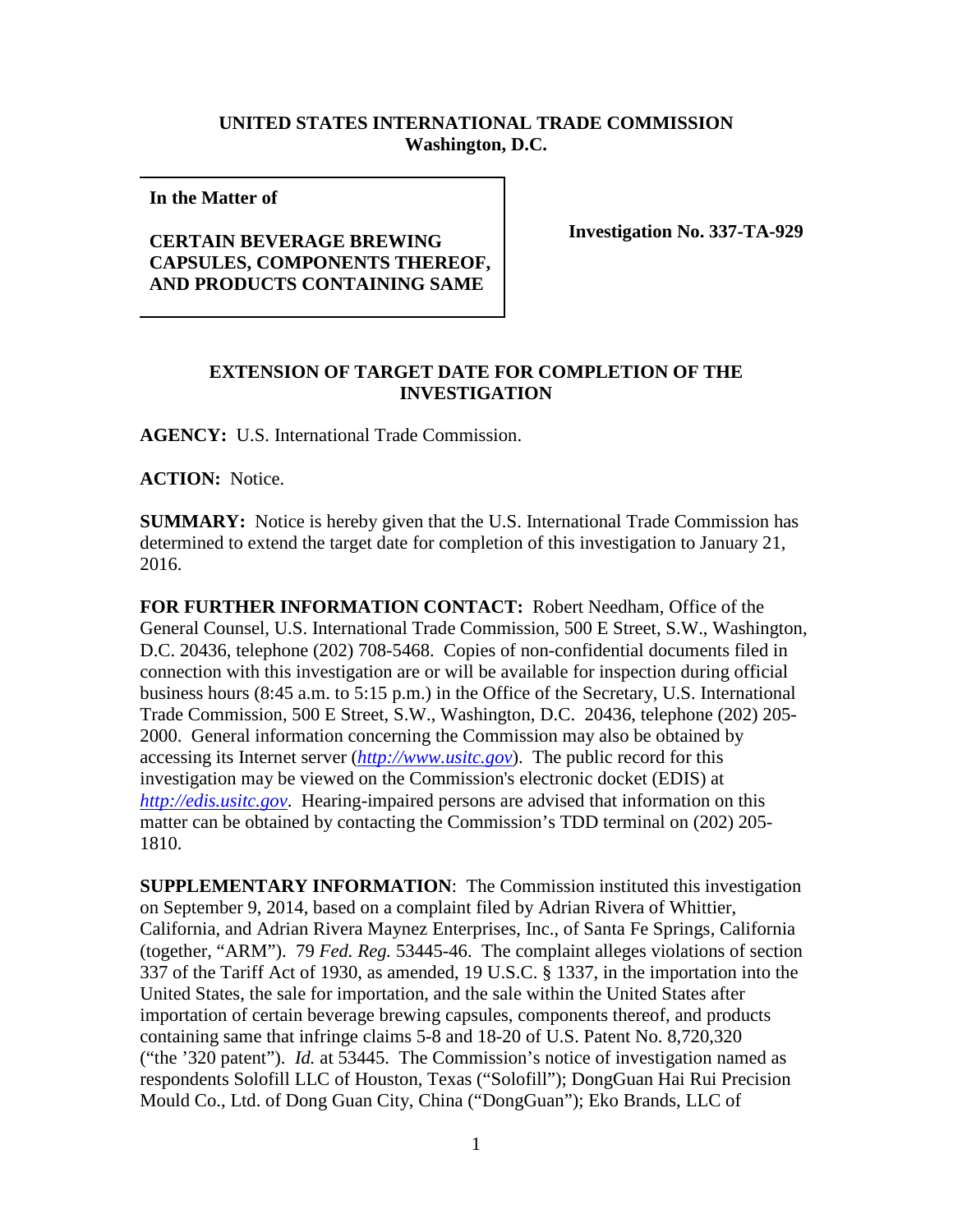## **UNITED STATES INTERNATIONAL TRADE COMMISSION Washington, D.C.**

**In the Matter of** 

## **CERTAIN BEVERAGE BREWING CAPSULES, COMPONENTS THEREOF, AND PRODUCTS CONTAINING SAME**

**Investigation No. 337-TA-929**

## **EXTENSION OF TARGET DATE FOR COMPLETION OF THE INVESTIGATION**

**AGENCY:** U.S. International Trade Commission.

**ACTION:** Notice.

**SUMMARY:** Notice is hereby given that the U.S. International Trade Commission has determined to extend the target date for completion of this investigation to January 21, 2016.

**FOR FURTHER INFORMATION CONTACT:** Robert Needham, Office of the General Counsel, U.S. International Trade Commission, 500 E Street, S.W., Washington, D.C. 20436, telephone (202) 708-5468. Copies of non-confidential documents filed in connection with this investigation are or will be available for inspection during official business hours (8:45 a.m. to 5:15 p.m.) in the Office of the Secretary, U.S. International Trade Commission, 500 E Street, S.W., Washington, D.C. 20436, telephone (202) 205- 2000. General information concerning the Commission may also be obtained by accessing its Internet server (*[http://www.usitc.gov](http://www.usitc.gov/)*). The public record for this investigation may be viewed on the Commission's electronic docket (EDIS) at *[http://edis.usitc.gov](http://edis.usitc.gov/)*. Hearing-impaired persons are advised that information on this matter can be obtained by contacting the Commission's TDD terminal on (202) 205- 1810.

**SUPPLEMENTARY INFORMATION**: The Commission instituted this investigation on September 9, 2014, based on a complaint filed by Adrian Rivera of Whittier, California, and Adrian Rivera Maynez Enterprises, Inc., of Santa Fe Springs, California (together, "ARM"). 79 *Fed. Reg.* 53445-46. The complaint alleges violations of section 337 of the Tariff Act of 1930, as amended, 19 U.S.C. § 1337, in the importation into the United States, the sale for importation, and the sale within the United States after importation of certain beverage brewing capsules, components thereof, and products containing same that infringe claims 5-8 and 18-20 of U.S. Patent No. 8,720,320 ("the '320 patent"). *Id.* at 53445. The Commission's notice of investigation named as respondents Solofill LLC of Houston, Texas ("Solofill"); DongGuan Hai Rui Precision Mould Co., Ltd. of Dong Guan City, China ("DongGuan"); Eko Brands, LLC of